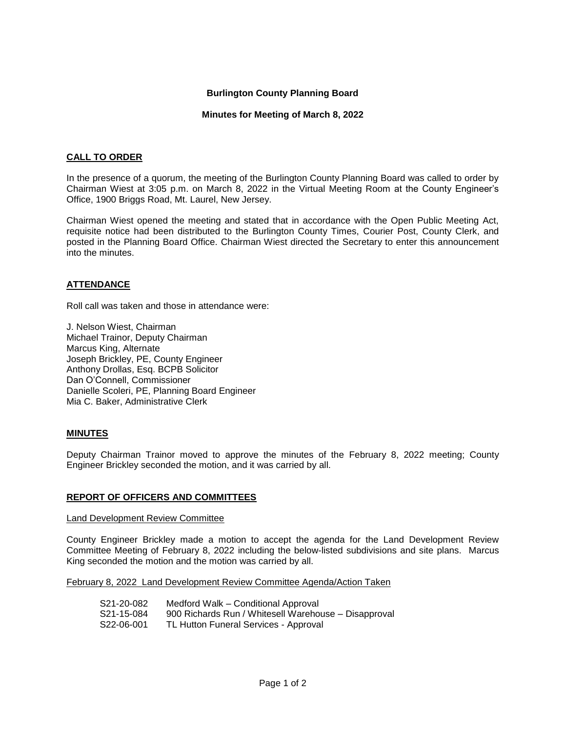## **Burlington County Planning Board**

## **Minutes for Meeting of March 8, 2022**

# **CALL TO ORDER**

In the presence of a quorum, the meeting of the Burlington County Planning Board was called to order by Chairman Wiest at 3:05 p.m. on March 8, 2022 in the Virtual Meeting Room at the County Engineer's Office, 1900 Briggs Road, Mt. Laurel, New Jersey.

Chairman Wiest opened the meeting and stated that in accordance with the Open Public Meeting Act, requisite notice had been distributed to the Burlington County Times, Courier Post, County Clerk, and posted in the Planning Board Office. Chairman Wiest directed the Secretary to enter this announcement into the minutes.

# **ATTENDANCE**

Roll call was taken and those in attendance were:

J. Nelson Wiest, Chairman Michael Trainor, Deputy Chairman Marcus King, Alternate Joseph Brickley, PE, County Engineer Anthony Drollas, Esq. BCPB Solicitor Dan O'Connell, Commissioner Danielle Scoleri, PE, Planning Board Engineer Mia C. Baker, Administrative Clerk

# **MINUTES**

Deputy Chairman Trainor moved to approve the minutes of the February 8, 2022 meeting; County Engineer Brickley seconded the motion, and it was carried by all.

### **REPORT OF OFFICERS AND COMMITTEES**

Land Development Review Committee

County Engineer Brickley made a motion to accept the agenda for the Land Development Review Committee Meeting of February 8, 2022 including the below-listed subdivisions and site plans. Marcus King seconded the motion and the motion was carried by all.

February 8, 2022 Land Development Review Committee Agenda/Action Taken

| S21-20-082 | Medford Walk – Conditional Approval                  |
|------------|------------------------------------------------------|
| S21-15-084 | 900 Richards Run / Whitesell Warehouse - Disapproval |
| S22-06-001 | TL Hutton Funeral Services - Approval                |